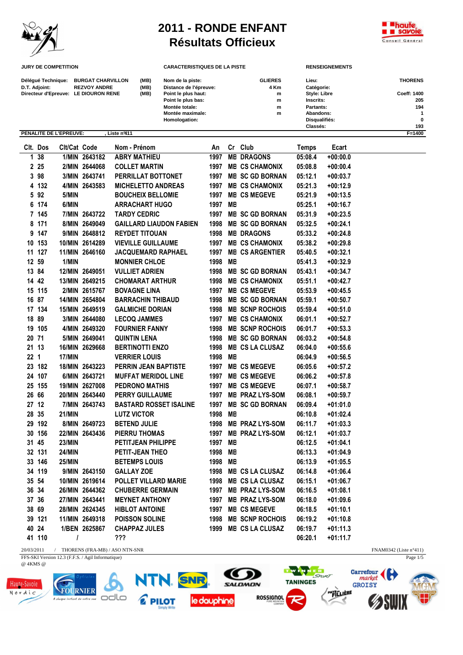

## **2011 - RONDE ENFANT Résultats Officieux**



Page  $1/5$ 

**JURY DE COMPETITION CARACTERISTIQUES DE LA PISTE RENSEIGNEMENTS**

| Délégué Technique:<br>D.T. Adjoint:  | <b>BURGAT CHARVILLON</b><br><b>REZVOY ANDRE</b> | (MB)<br>(MB) | Nom de la piste:<br>Distance de l'épreuve: | <b>GLIERES</b><br>4 Km | Lieu:<br>Catégorie: | <b>THORENS</b> |
|--------------------------------------|-------------------------------------------------|--------------|--------------------------------------------|------------------------|---------------------|----------------|
| Directeur d'Epreuve: LE DIOURON RENE |                                                 | (MB)         | Point le plus haut:                        | m                      | <b>Style: Libre</b> | Coeff: 1400    |
|                                      |                                                 |              | Point le plus bas:                         | m                      | Inscrits:           | 205            |
|                                      |                                                 |              | Montée totale:                             | m                      | Partants:           | 194            |
|                                      |                                                 |              | Montée maximale:                           | m                      | Abandons:           |                |
|                                      |                                                 |              | Homologation:                              |                        | Disqualifiés:       | $\bf{0}$       |
|                                      |                                                 |              |                                            |                        | Classés:            | 193            |
| PENALITE DE L'EPREUVE:               | Liste nº411                                     |              |                                            |                        |                     | F=1400         |

|                 | Clt. Dos | Clt/Cat Code  |                | Nom - Prénom                   | An      |    | Cr Club                | Temps   | Ecart      |
|-----------------|----------|---------------|----------------|--------------------------------|---------|----|------------------------|---------|------------|
|                 | 1 38     |               | 1/MIN 2643182  | <b>ABRY MATHIEU</b>            | 1997    |    | <b>ME DRAGONS</b>      | 05:08.4 | +00:00.0   |
|                 | 225      |               | 2/MIN 2644068  | <b>COLLET MARTIN</b>           | 1997    |    | <b>ME CS CHAMONIX</b>  | 05:08.8 | +00:00.4   |
|                 | 3 98     |               | 3/MIN 2643741  | PERRILLAT BOTTONET             |         |    | 1997 ME SC GD BORNAN   | 05:12.1 | $+00:03.7$ |
|                 | 4 132    |               | 4/MIN 2643583  | <b>MICHELETTO ANDREAS</b>      | 1997    |    | <b>ME CS CHAMONIX</b>  | 05:21.3 | +00:12.9   |
|                 | 5 92     | 5/MIN         |                | <b>BOUCHEIX BELLOMIE</b>       |         |    | 1997 ME CS MEGEVE      | 05:21.9 | +00:13.5   |
|                 | 6 174    | 6/MIN         |                | <b>ARRACHART HUGO</b>          | 1997 MB |    |                        | 05:25.1 | $+00:16.7$ |
|                 | 7 145    |               | 7/MIN 2643722  | <b>TARDY CEDRIC</b>            | 1997    |    | <b>ME SC GD BORNAN</b> | 05:31.9 | $+00:23.5$ |
|                 | 8 171    |               | 8/MIN 2649049  | <b>GAILLARD LIAUDON FABIEN</b> | 1998    |    | <b>ME SC GD BORNAN</b> | 05:32.5 | $+00:24.1$ |
|                 | 9 147    |               | 9/MIN 2648812  | <b>REYDET TITOUAN</b>          | 1998    |    | <b>ME DRAGONS</b>      | 05:33.2 | +00:24.8   |
|                 | 10 153   |               | 10/MIN 2614289 | <b>VIEVILLE GUILLAUME</b>      |         |    | 1997 ME CS CHAMONIX    | 05:38.2 | +00:29.8   |
|                 | 11 127   |               | 11/MIN 2646160 | <b>JACQUEMARD RAPHAEL</b>      | 1997    |    | <b>ME CS ARGENTIER</b> | 05:40.5 | $+00:32.1$ |
|                 | 12 59    | 1/MIN         |                | <b>MONNIER CHLOE</b>           | 1998    | MB |                        | 05:41.3 | $+00:32.9$ |
|                 | 13 84    |               | 12/MIN 2649051 | <b>VULLIET ADRIEN</b>          | 1998    |    | <b>ME SC GD BORNAN</b> | 05:43.1 | $+00:34.7$ |
|                 | 14 42    |               | 13/MIN 2649215 | <b>CHOMARAT ARTHUR</b>         |         |    | 1998 ME CS CHAMONIX    | 05:51.1 | +00:42.7   |
|                 | 15 115   |               | 2/MIN 2615767  | <b>BOVAGNE LINA</b>            |         |    | 1997 ME CS MEGEVE      | 05:53.9 | +00:45.5   |
|                 | 16 87    |               | 14/MIN 2654804 | <b>BARRACHIN THIBAUD</b>       |         |    | 1998 ME SC GD BORNAN   | 05:59.1 | $+00:50.7$ |
|                 | 17 134   |               | 15/MIN 2649519 | <b>GALMICHE DORIAN</b>         |         |    | 1998 ME SCNP ROCHOIS   | 05:59.4 | $+00:51.0$ |
|                 | 18 89    |               | 3/MIN 2644080  | <b>LECOQ JAMMES</b>            | 1997    |    | <b>ME CS CHAMONIX</b>  | 06:01.1 | +00:52.7   |
|                 | 19 105   |               | 4/MIN 2649320  | <b>FOURNIER FANNY</b>          | 1998    |    | <b>ME SCNP ROCHOIS</b> | 06:01.7 | +00:53.3   |
| 20 71           |          |               | 5/MIN 2649041  | <b>QUINTIN LENA</b>            | 1998    |    | <b>ME SC GD BORNAN</b> | 06:03.2 | +00:54.8   |
|                 | 21 13    |               | 16/MIN 2629668 | <b>BERTINOTTI ENZO</b>         |         |    | 1998 ME CS LA CLUSAZ   | 06:04.0 | $+00:55.6$ |
| 22 <sub>1</sub> |          | 17/MIN        |                | <b>VERRIER LOUIS</b>           | 1998 ME |    |                        | 06:04.9 | $+00:56.5$ |
|                 | 23 182   |               | 18/MIN 2643223 | <b>PERRIN JEAN BAPTISTE</b>    |         |    | 1997 ME CS MEGEVE      | 06:05.6 | +00:57.2   |
|                 | 24 107   |               | 6/MIN 2643721  | <b>MUFFAT MERIDOL LINE</b>     |         |    | 1997 ME CS MEGEVE      | 06:06.2 | $+00:57.8$ |
|                 | 25 155   |               | 19/MIN 2627008 | <b>PEDRONO MATHIS</b>          | 1997    |    | <b>ME CS MEGEVE</b>    | 06:07.1 | $+00:58.7$ |
|                 | 26 66    |               | 20/MIN 2643440 | <b>PERRY GUILLAUME</b>         |         |    | 1997 ME PRAZ LYS-SOM   | 06:08.1 | $+00:59.7$ |
| 27 12           |          |               | 7/MIN 2643743  | <b>BASTARD ROSSET ISALINE</b>  | 1997    |    | <b>ME SC GD BORNAN</b> | 06:09.4 | $+01:01.0$ |
|                 | 28 35    | <b>21/MIN</b> |                | <b>LUTZ VICTOR</b>             | 1998 ME |    |                        | 06:10.8 | $+01:02.4$ |
|                 | 29 192   |               | 8/MIN 2649723  | <b>BETEND JULIE</b>            | 1998    |    | <b>ME PRAZ LYS-SOM</b> | 06:11.7 | $+01:03.3$ |
|                 | 30 156   |               | 22/MIN 2643436 | PIERRU THOMAS                  | 1997    |    | <b>ME PRAZ LYS-SOM</b> | 06:12.1 | $+01:03.7$ |
|                 | 31 45    | <b>23/MIN</b> |                | PETITJEAN PHILIPPE             | 1997 MB |    |                        | 06:12.5 | $+01:04.1$ |
|                 | 32 131   | <b>24/MIN</b> |                | PETIT-JEAN THEO                | 1998 ME |    |                        | 06:13.3 | $+01:04.9$ |
|                 | 33 146   | 25/MIN        |                | <b>BETEMPS LOUIS</b>           | 1998    | MB |                        | 06:13.9 | $+01:05.5$ |
|                 | 34 119   |               | 9/MIN 2643150  | <b>GALLAY ZOE</b>              | 1998    |    | <b>ME CS LA CLUSAZ</b> | 06:14.8 | $+01:06.4$ |
|                 | 35 54    |               | 10/MIN 2619614 | POLLET VILLARD MARIE           |         |    | 1998 ME CS LA CLUSAZ   | 06:15.1 | $+01:06.7$ |
|                 | 36 34    |               | 26/MIN 2644362 | <b>CHUBERRE GERMAIN</b>        |         |    | 1997 ME PRAZ LYS-SOM   | 06:16.5 | $+01:08.1$ |
|                 | 37 36    |               | 27/MIN 2643441 | <b>MEYNET ANTHONY</b>          | 1997    |    | <b>ME PRAZ LYS-SOM</b> | 06:18.0 | +01:09.6   |
|                 | 38 69    |               | 28/MIN 2624345 | <b>HIBLOT ANTOINE</b>          | 1997    |    | <b>ME CS MEGEVE</b>    | 06:18.5 | $+01:10.1$ |
|                 | 39 121   |               | 11/MIN 2649318 | <b>POISSON SOLINE</b>          |         |    | 1998 ME SCNP ROCHOIS   | 06:19.2 | $+01:10.8$ |
|                 | 40 24    |               | 1/BEN 2625867  | <b>CHAPPAZ JULES</b>           | 1999    |    | <b>ME CS LA CLUSAZ</b> | 06:19.7 | $+01:11.3$ |
|                 | 41 110   | I             |                | ???                            |         |    |                        | 06:20.1 | +01:11.7   |

20/03/2011 / THORENS (FRA-MB) / ASO NTN-SNR FNAM0342 (Liste n°411) FFS-SKI Version 12.3 (F.F.S. / Agil Informatique)

@ 4KMS @

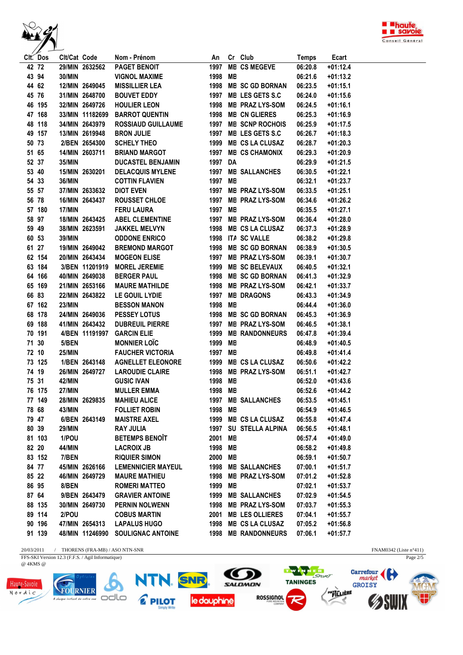



FNAM0342 (Liste n°411)<br>Page  $2/5$ 

| Clt. Dos | Clt/Cat Code  |                 | Nom - Prénom                      |         |           | An Cr Club             | <b>Temps</b> | Ecart      |
|----------|---------------|-----------------|-----------------------------------|---------|-----------|------------------------|--------------|------------|
| 42 72    |               | 29/MIN 2632562  | <b>PAGET BENOIT</b>               | 1997    |           | <b>ME CS MEGEVE</b>    | 06:20.8      | $+01:12.4$ |
| 43 94    | 30/MIN        |                 | <b>VIGNOL MAXIME</b>              | 1998 ME |           |                        | 06:21.6      | $+01:13.2$ |
| 44 62    |               | 12/MIN 2649045  | <b>MISSILLIER LEA</b>             |         |           | 1998 ME SC GD BORNAN   | 06:23.5      | $+01:15.1$ |
| 45 76    |               | 31/MIN 2648700  | <b>BOUVET EDDY</b>                |         |           | 1997 ME LES GETS S.C   | 06:24.0      | $+01:15.6$ |
| 46 195   |               | 32/MIN 2649726  | <b>HOULIER LEON</b>               |         |           | 1998 ME PRAZ LYS-SOM   | 06:24.5      | $+01:16.1$ |
| 47 168   |               | 33/MIN 11182699 | <b>BARROT QUENTIN</b>             |         |           | 1998 ME CN GLIERES     | 06:25.3      | $+01:16.9$ |
| 48 118   |               | 34/MIN 2643979  | <b>ROSSIAUD GUILLAUME</b>         |         |           | 1997 ME SCNP ROCHOIS   | 06:25.9      | $+01:17.5$ |
| 49 157   |               | 13/MIN 2619948  | <b>BRON JULIE</b>                 |         |           | 1997 ME LES GETS S.C   | 06:26.7      | $+01:18.3$ |
| 50 73    |               | 2/BEN 2654300   | <b>SCHELY THEO</b>                |         |           | 1999 ME CS LA CLUSAZ   | 06:28.7      | $+01:20.3$ |
| 51 65    |               | 14/MIN 2603711  | <b>BRIAND MARGOT</b>              |         |           | 1997 ME CS CHAMONIX    | 06:29.3      | $+01:20.9$ |
| 52 37    | 35/MIN        |                 | <b>DUCASTEL BENJAMIN</b>          | 1997 DA |           |                        | 06:29.9      | $+01:21.5$ |
| 53 40    |               | 15/MIN 2630201  | <b>DELACQUIS MYLENE</b>           |         |           | 1997 ME SALLANCHES     | 06:30.5      | $+01:22.1$ |
| 54 33    | 36/MIN        |                 | <b>COTTIN FLAVIEN</b>             | 1997 ME |           |                        | 06:32.1      | $+01:23.7$ |
| 55 57    |               | 37/MIN 2633632  | <b>DIOT EVEN</b>                  |         |           | 1997 ME PRAZ LYS-SOM   | 06:33.5      | $+01:25.1$ |
| 56 78    |               | 16/MIN 2643437  | ROUSSET CHLOE                     |         |           | 1997 ME PRAZ LYS-SOM   | 06:34.6      | $+01:26.2$ |
| 57 180   | 17/MIN        |                 | <b>FERU LAURA</b>                 | 1997 MB |           |                        | 06:35.5      | $+01:27.1$ |
| 58 97    |               | 18/MIN 2643425  | <b>ABEL CLEMENTINE</b>            |         |           | 1997 ME PRAZ LYS-SOM   | 06:36.4      | $+01:28.0$ |
| 59 49    |               | 38/MIN 2623591  | <b>JAKKEL MELVYN</b>              |         |           | 1998 ME CS LA CLUSAZ   | 06:37.3      | $+01:28.9$ |
| 60 53    | 39/MIN        |                 | <b>ODDONE ENRICO</b>              |         |           | 1998 ITA SC VALLE      | 06:38.2      | $+01:29.8$ |
| 61 27    |               | 19/MIN 2649042  | <b>BREMOND MARGOT</b>             |         |           | 1998 ME SC GD BORNAN   | 06:38.9      | $+01:30.5$ |
| 62 154   |               | 20/MIN 2643434  | <b>MOGEON ELISE</b>               |         |           | 1997 ME PRAZ LYS-SOM   | 06:39.1      | $+01:30.7$ |
| 63 184   |               |                 | 3/BEN 11201919 MOREL JEREMIE      |         |           | 1999 ME SC BELEVAUX    | 06:40.5      | $+01:32.1$ |
| 64 166   |               | 40/MIN 2649038  | <b>BERGER PAUL</b>                |         |           | 1998 ME SC GD BORNAN   | 06:41.3      | $+01:32.9$ |
| 65 169   |               | 21/MIN 2653166  | <b>MAURE MATHILDE</b>             |         |           | 1998 ME PRAZ LYS-SOM   | 06:42.1      | $+01:33.7$ |
| 66 83    |               | 22/MIN 2643822  | LE GOUIL LYDIE                    |         |           | 1997 ME DRAGONS        | 06:43.3      | $+01:34.9$ |
| 67 162   | <b>23/MIN</b> |                 | <b>BESSON MANON</b>               | 1998 MB |           |                        | 06:44.4      | $+01:36.0$ |
| 68 178   |               |                 | 24/MIN 2649036 PESSEY LOTUS       |         |           | 1998 ME SC GD BORNAN   | 06:45.3      | $+01:36.9$ |
| 69 188   |               | 41/MIN 2643432  | <b>DUBREUIL PIERRE</b>            |         |           | 1997 ME PRAZ LYS-SOM   | 06:46.5      | $+01:38.1$ |
| 70 191   |               |                 | 4/BEN 11191997 GARCIN ELIE        |         |           | 1999 ME RANDONNEURS    | 06:47.8      | $+01:39.4$ |
| 71 30    | 5/BEN         |                 | <b>MONNIER LOÏC</b>               | 1999 MB |           |                        | 06:48.9      | $+01:40.5$ |
| 72 10    | <b>25/MIN</b> |                 | <b>FAUCHER VICTORIA</b>           | 1997 ME |           |                        | 06:49.8      | $+01:41.4$ |
| 73 125   |               | 1/BEN 2643148   | <b>AGNELLET ELEONORE</b>          |         |           | 1999 ME CS LA CLUSAZ   | 06:50.6      | $+01:42.2$ |
| 74 19    |               | 26/MIN 2649727  | <b>LAROUDIE CLAIRE</b>            |         |           | 1998 ME PRAZ LYS-SOM   | 06:51.1      | $+01:42.7$ |
| 75 31    | 42/MIN        |                 | <b>GUSIC IVAN</b>                 | 1998    | <b>ME</b> |                        | 06:52.0      | $+01:43.6$ |
| 76 175   | <b>27/MIN</b> |                 | <b>MULLER EMMA</b>                | 1998    | <b>ME</b> |                        | 06:52.6      | $+01:44.2$ |
| 77 149   |               | 28/MIN 2629835  | <b>MAHIEU ALICE</b>               |         |           | 1997 ME SALLANCHES     | 06:53.5      | $+01:45.1$ |
| 78 68    | 43/MIN        |                 | <b>FOLLIET ROBIN</b>              | 1998 ME |           |                        | 06:54.9      | $+01:46.5$ |
| 79 47    |               | 6/BEN 2643149   | <b>MAISTRE AXEL</b>               | 1999    |           | <b>ME CS LA CLUSAZ</b> | 06:55.8      | $+01:47.4$ |
| 80 39    | <b>29/MIN</b> |                 | <b>RAY JULIA</b>                  |         |           | 1997 SU STELLA ALPINA  | 06:56.5      | $+01:48.1$ |
| 81 103   | 1/POU         |                 | <b>BETEMPS BENOIT</b>             | 2001    | MB        |                        | 06:57.4      | $+01:49.0$ |
| 82 20    | 44/MIN        |                 | <b>LACROIX JB</b>                 | 1998    | ME        |                        | 06:58.2      | $+01:49.8$ |
| 83 152   | 7/BEN         |                 | <b>RIQUIER SIMON</b>              | 2000    | ME        |                        | 06:59.1      | $+01:50.7$ |
| 84 77    |               | 45/MIN 2626166  | <b>LEMENNICIER MAYEUL</b>         | 1998    |           | <b>ME SALLANCHES</b>   | 07:00.1      | $+01:51.7$ |
| 85 22    |               | 46/MIN 2649729  | <b>MAURE MATHIEU</b>              | 1998    |           | <b>ME PRAZ LYS-SOM</b> | 07:01.2      | $+01:52.8$ |
| 86 95    | 8/BEN         |                 | <b>ROMERI MATTEO</b>              | 1999    | MB        |                        | 07:02.1      | $+01:53.7$ |
| 87 64    |               | 9/BEN 2643479   | <b>GRAVIER ANTOINE</b>            | 1999    |           | <b>ME SALLANCHES</b>   | 07:02.9      | $+01:54.5$ |
| 88 135   |               | 30/MIN 2649730  | <b>PERNIN NOLWENN</b>             | 1998    |           | <b>ME PRAZ LYS-SOM</b> | 07:03.7      | $+01:55.3$ |
| 89 114   | 2/POU         |                 | <b>COBUS MARTIN</b>               | 2001    |           | <b>ME LES OLLIERES</b> | 07:04.1      | $+01:55.7$ |
| 90 196   |               | 47/MIN 2654313  | <b>LAPALUS HUGO</b>               | 1998    |           | ME CS LA CLUSAZ        | 07:05.2      | $+01:56.8$ |
| 91 139   |               |                 | 48/MIN 11246990 SOULIGNAC ANTOINE | 1998    |           | <b>ME RANDONNEURS</b>  | 07:06.1      | $+01:57.7$ |
|          |               |                 |                                   |         |           |                        |              |            |

 $20/03/2011$  / <code>THORENS</code> (FRA-MB) / ASO NTN-SNR

FFS-SKI Version 12.3 (F.F.S. / Agil Informatique)

@  $4KMS$  @

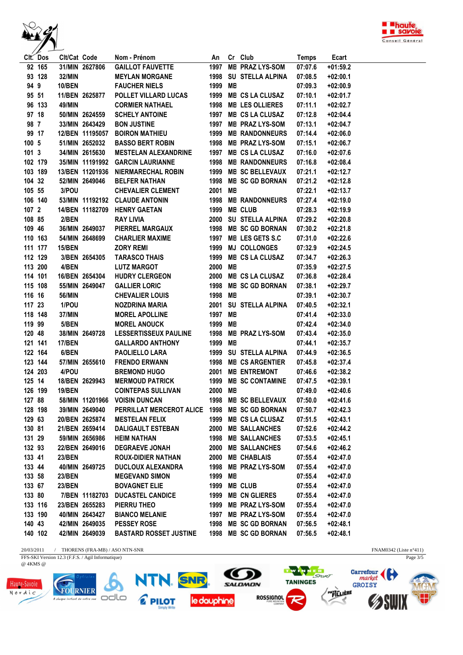



|                  | Clt. Dos | Clt/Cat Code  |                | Nom - Prénom                                               |         | An Cr Club                                                                                                                                                                                                                                              | <b>Temps</b> | Ecart      |  |
|------------------|----------|---------------|----------------|------------------------------------------------------------|---------|---------------------------------------------------------------------------------------------------------------------------------------------------------------------------------------------------------------------------------------------------------|--------------|------------|--|
|                  | 92 165   |               | 31/MIN 2627806 | <b>GAILLOT FAUVETTE</b>                                    |         | 1997 ME PRAZ LYS-SOM                                                                                                                                                                                                                                    | 07:07.6      | $+01:59.2$ |  |
|                  | 93 128   | 32/MIN        |                | <b>MEYLAN MORGANE</b>                                      |         | 1998 SU STELLA ALPINA                                                                                                                                                                                                                                   | 07:08.5      | $+02:00.1$ |  |
| 94 9             |          | <b>10/BEN</b> |                | <b>FAUCHER NIELS</b>                                       | 1999 MB |                                                                                                                                                                                                                                                         | 07:09.3      | $+02:00.9$ |  |
|                  | 95 51    |               | 11/BEN 2625877 | POLLET VILLARD LUCAS                                       |         | 1999 ME CS LA CLUSAZ                                                                                                                                                                                                                                    | 07:10.1      | $+02:01.7$ |  |
|                  | 96 133   | 49/MIN        |                | <b>CORMIER NATHAEL</b>                                     |         | 1998 ME LES OLLIERES                                                                                                                                                                                                                                    | 07:11.1      | $+02:02.7$ |  |
|                  | 97 18    |               | 50/MIN 2624559 | <b>SCHELY ANTOINE</b>                                      |         | 1997 ME CS LA CLUSAZ                                                                                                                                                                                                                                    | 07:12.8      | $+02:04.4$ |  |
| 98 7             |          |               | 33/MIN 2643429 | <b>BON JUSTINE</b>                                         |         | 1997 ME PRAZ LYS-SOM                                                                                                                                                                                                                                    | 07:13.1      | $+02:04.7$ |  |
| 99 17            |          |               |                | 12/BEN 11195057 BOIRON MATHIEU 1999 ME RANDONNEURS         |         |                                                                                                                                                                                                                                                         | 07:14.4      | $+02:06.0$ |  |
| 100 <sub>5</sub> |          |               | 51/MIN 2652032 | BASSO BERT ROBIN 1998 ME PRAZ LYS-SOM                      |         |                                                                                                                                                                                                                                                         | 07:15.1      | $+02:06.7$ |  |
| 1013             |          |               | 34/MIN 2615630 | MESTELAN ALEXANDRINE 1997 ME CS LA CLUSAZ                  |         |                                                                                                                                                                                                                                                         | 07:16.0      | $+02:07.6$ |  |
|                  | 102 179  |               |                | 35/MIN 11191992 GARCIN LAURIANNE                           |         | <b>1998 ME RANDONNEURS</b>                                                                                                                                                                                                                              | 07:16.8      | $+02:08.4$ |  |
|                  | 103 189  |               |                | 13/BEN 11201936 NIERMARECHAL ROBIN                         |         | 1999 ME SC BELLEVAUX                                                                                                                                                                                                                                    | 07:21.1      | $+02:12.7$ |  |
| 104 32           |          |               | 52/MIN 2649046 | <b>BELFER NATHAN</b>                                       |         | 1998 ME SC GD BORNAN                                                                                                                                                                                                                                    | 07:21.2      | $+02:12.8$ |  |
| 105 55           |          | 3/POU         |                | <b>CHEVALIER CLEMENT</b>                                   | 2001 MB |                                                                                                                                                                                                                                                         | 07:22.1      | $+02:13.7$ |  |
|                  | 106 140  |               |                | 53/MIN 11192192 CLAUDE ANTONIN                             |         |                                                                                                                                                                                                                                                         | 07:27.4      | $+02:19.0$ |  |
| $1072$           |          |               |                | 14/BEN 11182709 HENRY GAETAN                               |         |                                                                                                                                                                                                                                                         | 07:28.3      | $+02:19.9$ |  |
| 108 85           |          | 2/BEN         |                | <b>RAY LIVIA</b>                                           |         |                                                                                                                                                                                                                                                         | 07:29.2      | $+02:20.8$ |  |
| 109 46           |          |               |                | 36/MIN 2649037 PIERREL MARGAUX                             |         |                                                                                                                                                                                                                                                         | 07:30.2      | $+02:21.8$ |  |
|                  | 110 163  |               |                | 54/MIN 2648699 CHARLIER MAXIME                             |         |                                                                                                                                                                                                                                                         | 07:31.0      | $+02:22.6$ |  |
|                  | 111 177  | <b>15/BEN</b> |                | <b>ZORY REMI</b>                                           |         |                                                                                                                                                                                                                                                         | 07:32.9      | $+02:24.5$ |  |
| 112 129          |          |               |                | 3/BEN 2654305 TARASCO THAIS                                |         |                                                                                                                                                                                                                                                         | 07:34.7      | $+02:26.3$ |  |
|                  | 113 200  | 4/BEN         |                | <b>LUTZ MARGOT</b>                                         |         | 2001 ME<br>1998 ME RANDONNEURS<br>1999 ME CLUB<br>2000 SU STELLA ALPINA<br>1998 ME SC GD BORNAN<br>1997 ME LES GETS S.C<br>1999 MJ COLLONGES<br>1999 ME CS LA CLUSAZ<br>2000 ME<br>2000 ME CS LA CLUSAZ<br>1998 ME SC GD BORNAN<br>1998 ME SC GD BORNAN | 07:35.9      | $+02:27.5$ |  |
| 114 101          |          |               |                | 16/BEN 2654304 HUDRY CLERGEON                              |         |                                                                                                                                                                                                                                                         | 07:36.8      | $+02:28.4$ |  |
|                  | 115 108  |               | 55/MIN 2649047 | <b>GALLIER LORIC</b>                                       |         |                                                                                                                                                                                                                                                         | 07:38.1      | $+02:29.7$ |  |
| 116 16           |          | 56/MIN        |                | CHEVALIER LOUIS<br>NOZDRINA MARIA<br>2001 SU STELLA ALPINA |         |                                                                                                                                                                                                                                                         | 07:39.1      | $+02:30.7$ |  |
| 117 23           |          | 1/POU         |                |                                                            |         |                                                                                                                                                                                                                                                         | 07:40.5      | $+02:32.1$ |  |
| 118 148          |          | 37/MIN        |                | 1997 ME<br><b>MOREL APOLLINE</b>                           |         |                                                                                                                                                                                                                                                         | 07:41.4      | $+02:33.0$ |  |
| 119 99           |          | 5/BEN         |                | 1999 ME<br><b>MOREL ANOUCK</b>                             |         |                                                                                                                                                                                                                                                         | 07:42.4      | $+02:34.0$ |  |
| 120 48           |          |               | 38/MIN 2649728 | LESSERTISSEUX PAULINE 1998 ME PRAZ LYS-SOM                 |         |                                                                                                                                                                                                                                                         | 07:43.4      | $+02:35.0$ |  |
| 121 141          |          | <b>17/BEN</b> |                | <b>GALLARDO ANTHONY</b>                                    | 1999 ME |                                                                                                                                                                                                                                                         | 07:44.1      | $+02:35.7$ |  |
|                  | 122 164  | 6/BEN         |                | <b>PAOLIELLO LARA</b>                                      |         | 1999 SU STELLA ALPINA                                                                                                                                                                                                                                   | 07:44.9      | $+02:36.5$ |  |
|                  | 123 144  |               |                | 57/MIN 2655610 FRENDO ERWANN                               |         | 1998 ME CS ARGENTIER                                                                                                                                                                                                                                    | 07:45.8      | $+02:37.4$ |  |
|                  | 124 203  | 4/POU         |                | <b>BREMOND HUGO</b>                                        |         | 2001 ME ENTREMONT                                                                                                                                                                                                                                       | 07:46.6      | $+02:38.2$ |  |
| 125 14           |          |               |                | 18/BEN 2629943 MERMOUD PATRICK 1999 ME SC CONTAMINE        |         |                                                                                                                                                                                                                                                         | 07:47.5      | $+02:39.1$ |  |
|                  | 126 199  | <b>19/BEN</b> |                | <b>COINTEPAS SULLIVAN</b>                                  | 2000 MB |                                                                                                                                                                                                                                                         | 07:49.0      | $+02:40.6$ |  |
|                  | 127 88   |               |                | 58/MIN 11201966 VOISIN DUNCAN 1998 ME SC BELLEVAUX         |         |                                                                                                                                                                                                                                                         | 07:50.0      | $+02:41.6$ |  |
| 128 198          |          |               | 39/MIN 2649040 | PERRILLAT MERCEROT ALICE 1998 ME SC GD BORNAN              |         |                                                                                                                                                                                                                                                         | 07:50.7      | $+02:42.3$ |  |
| 129 63           |          |               | 20/BEN 2625874 | <b>MESTELAN FELIX</b>                                      |         | 1999 ME CS LA CLUSAZ                                                                                                                                                                                                                                    | 07:51.5      | $+02:43.1$ |  |
| 130 81           |          |               | 21/BEN 2659414 | DALIGAULT ESTEBAN                                          |         | 2000 ME SALLANCHES                                                                                                                                                                                                                                      | 07:52.6      | $+02:44.2$ |  |
| 131 29           |          |               | 59/MIN 2656986 | <b>HEIM NATHAN</b>                                         |         | 1998 ME SALLANCHES                                                                                                                                                                                                                                      | 07:53.5      | $+02:45.1$ |  |
| 132 93           |          |               | 22/BEN 2649016 | <b>DEGRAEVE JONAH</b>                                      |         | 2000 ME SALLANCHES                                                                                                                                                                                                                                      | 07:54.6      | +02:46.2   |  |
| 133 41           |          | <b>23/BEN</b> |                | <b>ROUX-DIDIER NATHAN</b>                                  |         | 2000 ME CHABLAIS                                                                                                                                                                                                                                        | 07:55.4      | $+02:47.0$ |  |
| 133 44           |          |               | 40/MIN 2649725 | <b>DUCLOUX ALEXANDRA</b>                                   |         | 1998 ME PRAZ LYS-SOM                                                                                                                                                                                                                                    | 07:55.4      | $+02:47.0$ |  |
| 133 58           |          | <b>23/BEN</b> |                | <b>MEGEVAND SIMON</b>                                      | 1999 ME |                                                                                                                                                                                                                                                         | 07:55.4      | +02:47.0   |  |
| 133 67           |          | <b>23/BEN</b> |                | <b>BOVAGNET ELIE</b>                                       |         | 1999 ME CLUB                                                                                                                                                                                                                                            | 07:55.4      | +02:47.0   |  |
| 133 80           |          |               |                | 7/BEN 11182703 DUCASTEL CANDICE                            |         | 1999 ME CN GLIERES                                                                                                                                                                                                                                      | 07:55.4      | $+02:47.0$ |  |
| 133 116          |          |               | 23/BEN 2655283 | PIERRU THEO                                                |         | 1999 ME PRAZ LYS-SOM                                                                                                                                                                                                                                    | 07:55.4      | +02:47.0   |  |
|                  | 133 190  |               | 40/MIN 2643427 | <b>BIANCO MELANIE</b>                                      |         | 1997 ME PRAZ LYS-SOM                                                                                                                                                                                                                                    | 07:55.4      | $+02:47.0$ |  |
| 140 43           |          |               | 42/MIN 2649035 | <b>PESSEY ROSE</b>                                         |         | 1998 ME SC GD BORNAN                                                                                                                                                                                                                                    | 07:56.5      | $+02:48.1$ |  |
| 140 102          |          |               | 42/MIN 2649039 | <b>BASTARD ROSSET JUSTINE</b>                              |         | 1998 ME SC GD BORNAN                                                                                                                                                                                                                                    | 07:56.5      | $+02:48.1$ |  |

 $20/03/2011$  / THORENS (FRA-MB) / ASO NTN-SNR FFS-SKI Version 12.3 (F.F.S. / Agil Informatique)

@ 4KMS @









7

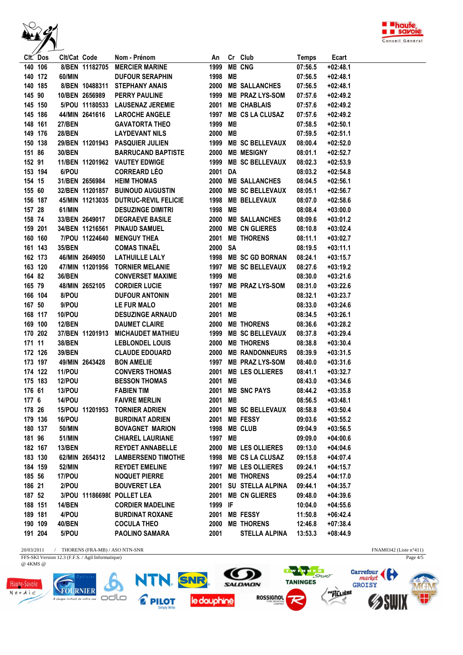



|         | CIt. Dos | Cit/Cat Code  |                 | Nom - Prénom                     | An      |    | Cr Club                 | Temps   | Ecart      |  |
|---------|----------|---------------|-----------------|----------------------------------|---------|----|-------------------------|---------|------------|--|
|         | 140 106  |               | 8/BEN 11182705  | <b>MERCIER MARINE</b>            | 1999    |    | <b>ME CNG</b>           | 07:56.5 | $+02:48.1$ |  |
| 140 172 |          | 60/MIN        |                 | <b>DUFOUR SERAPHIN</b>           | 1998    | MB |                         | 07:56.5 | $+02:48.1$ |  |
| 140 185 |          |               | 8/BEN 10488311  | <b>STEPHANY ANAIS</b>            |         |    | 2000 ME SALLANCHES      | 07:56.5 | $+02:48.1$ |  |
| 145 90  |          |               | 10/BEN 2656989  | <b>PERRY PAULINE</b>             |         |    | 1999 ME PRAZ LYS-SOM    | 07:57.6 | $+02:49.2$ |  |
| 145 150 |          |               |                 | 5/POU 11180533 LAUSENAZ JEREMIE  |         |    | 2001 ME CHABLAIS        | 07:57.6 | $+02:49.2$ |  |
| 145 186 |          |               | 44/MIN 2641616  | <b>LAROCHE ANGELE</b>            |         |    | 1997 ME CS LA CLUSAZ    | 07:57.6 | $+02:49.2$ |  |
| 148 161 |          | <b>27/BEN</b> |                 | <b>GAVATORTA THEO</b>            | 1999 ME |    |                         | 07:58.5 | $+02:50.1$ |  |
| 149 176 |          | <b>28/BEN</b> |                 | <b>LAYDEVANT NILS</b>            | 2000 ME |    |                         | 07:59.5 | $+02:51.1$ |  |
| 150 138 |          |               |                 | 29/BEN 11201943 PASQUIER JULIEN  | 1999    |    | <b>ME SC BELLEVAUX</b>  | 08:00.4 | $+02:52.0$ |  |
| 151 86  |          | 30/BEN        |                 | <b>BARRUCAND BAPTISTE</b>        | 2000    |    | <b>ME MESIGNY</b>       | 08:01.1 | $+02:52.7$ |  |
| 152 91  |          |               |                 | 11/BEN 11201962 VAUTEY EDWIGE    |         |    | 1999 ME SC BELLEVAUX    | 08:02.3 | $+02:53.9$ |  |
| 153 194 |          | 6/POU         |                 | <b>CORREARD LÉO</b>              | 2001 DA |    |                         | 08:03.2 | $+02:54.8$ |  |
| 154 15  |          |               | 31/BEN 2656984  | <b>HEIM THOMAS</b>               |         |    | 2000 ME SALLANCHES      | 08:04.5 | $+02:56.1$ |  |
| 155 60  |          |               |                 | 32/BEN 11201857 BUINOUD AUGUSTIN | 2000    |    | <b>ME SC BELLEVAUX</b>  | 08:05.1 | $+02:56.7$ |  |
| 156 187 |          |               | 45/MIN 11213035 | <b>DUTRUC-REVIL FELICIE</b>      |         |    | 1998 ME BELLEVAUX       | 08:07.0 | $+02:58.6$ |  |
| 157 28  |          | 61/MIN        |                 | <b>DESUZINGE DIMITRI</b>         | 1998 MB |    |                         | 08:08.4 | $+03:00.0$ |  |
| 158 74  |          |               | 33/BEN 2649017  | <b>DEGRAEVE BASILE</b>           |         |    | 2000 ME SALLANCHES      | 08:09.6 | $+03:01.2$ |  |
| 159 201 |          |               | 34/BEN 11216561 | <b>PINAUD SAMUEL</b>             |         |    | 2000 ME CN GLIERES      | 08:10.8 | $+03:02.4$ |  |
| 160 160 |          |               | 7/POU 11224640  | <b>MENGUY THEA</b>               |         |    | 2001 ME THORENS         | 08:11.1 | $+03:02.7$ |  |
| 161 143 |          | 35/BEN        |                 | <b>COMAS TINAËL</b>              | 2000 SA |    |                         | 08:19.5 | $+03:11.1$ |  |
| 162 173 |          |               | 46/MIN 2649050  | <b>LATHUILLE LALY</b>            |         |    | 1998 ME SC GD BORNAN    | 08:24.1 | $+03:15.7$ |  |
| 163 120 |          |               |                 | 47/MIN 11201956 TORNIER MELANIE  |         |    | 1997 ME SC BELLEVAUX    | 08:27.6 | $+03:19.2$ |  |
| 164 82  |          | 36/BEN        |                 | <b>CONVERSET MAXIME</b>          | 1999 MB |    |                         | 08:30.0 | $+03:21.6$ |  |
| 165 79  |          |               | 48/MIN 2652105  | <b>CORDIER LUCIE</b>             |         |    | 1997 ME PRAZ LYS-SOM    | 08:31.0 | $+03:22.6$ |  |
|         | 166 104  | 8/POU         |                 | <b>DUFOUR ANTONIN</b>            | 2001 ME |    |                         | 08:32.1 | $+03:23.7$ |  |
| 167 50  |          | 9/POU         |                 | <b>LE FUR MALO</b>               | 2001 ME |    |                         | 08:33.0 | $+03:24.6$ |  |
| 168 117 |          | 10/POU        |                 | <b>DESUZINGE ARNAUD</b>          | 2001 ME |    |                         | 08:34.5 | $+03:26.1$ |  |
| 169 100 |          | <b>12/BEN</b> |                 | <b>DAUMET CLAIRE</b>             |         |    | 2000 ME THORENS         | 08:36.6 | $+03:28.2$ |  |
| 170 202 |          |               |                 |                                  |         |    |                         |         |            |  |
|         |          |               | 37/BEN 11201913 | <b>MICHAUDET MATHIEU</b>         | 1999    |    | <b>ME SC BELLEVAUX</b>  | 08:37.8 | $+03:29.4$ |  |
| 171 11  |          | <b>38/BEN</b> |                 | <b>LEBLONDEL LOUIS</b>           |         |    | 2000 ME THORENS         | 08:38.8 | $+03:30.4$ |  |
| 172 126 |          | 39/BEN        |                 | <b>CLAUDE EDOUARD</b>            |         |    | 2000 ME RANDONNEURS     | 08:39.9 | $+03:31.5$ |  |
| 173 197 |          |               | 49/MIN 2643428  | <b>BON AMELIE</b>                |         |    | 1997 ME PRAZ LYS-SOM    | 08:40.0 | $+03:31.6$ |  |
| 174 122 |          | <b>11/POU</b> |                 | <b>CONVERS THOMAS</b>            |         |    | 2001 ME LES OLLIERES    | 08:41.1 | $+03:32.7$ |  |
| 175 183 |          | <b>12/POU</b> |                 | <b>BESSON THOMAS</b>             | 2001 MB |    |                         | 08:43.0 | $+03:34.6$ |  |
| 176 61  |          | <b>13/POU</b> |                 | <b>FABIEN TIM</b>                |         |    | 2001 ME SNC PAYS        | 08:44.2 | $+03:35.8$ |  |
| 177 6   |          | 14/POU        |                 | <b>FAIVRE MERLIN</b>             | 2001 ME |    |                         | 08:56.5 | $+03:48.1$ |  |
| 178 26  |          |               |                 | 15/POU 11201953 TORNIER ADRIEN   |         |    | 2001 ME SC BELLEVAUX    | 08:58.8 | $+03:50.4$ |  |
| 179 136 |          | 16/POU        |                 | <b>BURDINAT ADRIEN</b>           | 2001    |    | <b>ME FESSY</b>         | 09:03.6 | $+03:55.2$ |  |
| 180 137 |          | 50/MIN        |                 | <b>BOVAGNET MARION</b>           | 1998    |    | <b>ME CLUB</b>          | 09:04.9 | $+03:56.5$ |  |
| 181 96  |          | 51/MIN        |                 | <b>CHIAREL LAURIANE</b>          | 1997 ME |    |                         | 09:09.0 | $+04:00.6$ |  |
| 182 167 |          | <b>13/BEN</b> |                 | <b>REYDET ANNABELLE</b>          |         |    | 2000 ME LES OLLIERES    | 09:13.0 | $+04:04.6$ |  |
| 183 130 |          |               | 62/MIN 2654312  | <b>LAMBERSEND TIMOTHE</b>        | 1998    |    | <b>ME CS LA CLUSAZ</b>  | 09:15.8 | $+04:07.4$ |  |
| 184 159 |          | 52/MIN        |                 | <b>REYDET EMELINE</b>            |         |    | 1997 ME LES OLLIERES    | 09:24.1 | +04:15.7   |  |
| 185 56  |          | 17/POU        |                 | <b>NOQUET PIERRE</b>             |         |    | 2001 ME THORENS         | 09:25.4 | $+04:17.0$ |  |
| 186 21  |          | 2/POU         |                 | <b>BOUVERET LEA</b>              | 2001    |    | <b>SU STELLA ALPINA</b> | 09:44.1 | $+04:35.7$ |  |
| 187 52  |          |               |                 | 3/POU 111866980 POLLET LEA       | 2001    |    | <b>ME CN GLIERES</b>    | 09:48.0 | $+04:39.6$ |  |
| 188 151 |          | <b>14/BEN</b> |                 | <b>CORDIER MADELINE</b>          | 1999 IF |    |                         | 10:04.0 | $+04:55.6$ |  |
| 189 181 |          | 4/POU         |                 | <b>BURDINAT ROXANE</b>           |         |    | 2001 ME FESSY           | 11:50.8 | +06:42.4   |  |
| 190 109 |          | 40/BEN        |                 | <b>COCULA THEO</b>               | 2000    |    | <b>ME THORENS</b>       | 12:46.8 | $+07:38.4$ |  |
| 191 204 |          | 5/POU         |                 | <b>PAOLINO SAMARA</b>            | 2001    |    | <b>STELLA ALPINA</b>    | 13:53.3 | $+08:44.9$ |  |

 $20/03/2011$  / THORENS (FRA-MB) / ASO NTN-SNR FFS-SKI Version 12.3 (F.F.S. / Agil Informatique)

@ 4KMS @



 $\boldsymbol{\delta}$ A chaque instant de votre vue<br>A chaque instant de votre vue

NTN. SNR 2 PILOT le dauphine



**TWENT ERE**<br>TANINGES **ROSSIGNOL** 7

FNAM0342 (Liste n°411)<br>Page  $4/5$ **Carrefour PAYS LIERE SWIN**